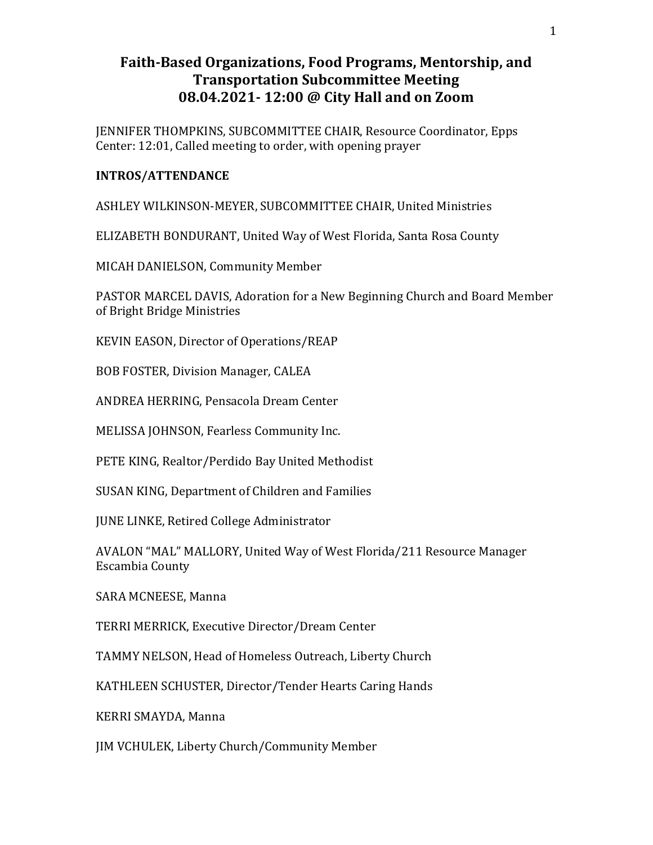## Faith-Based Organizations, Food Programs, Mentorship, and Transportation Subcommittee Meeting 08.04.2021- 12:00 @ City Hall and on Zoom

JENNIFER THOMPKINS, SUBCOMMITTEE CHAIR, Resource Coordinator, Epps Center: 12:01, Called meeting to order, with opening prayer

## INTROS/ATTENDANCE

ASHLEY WILKINSON-MEYER, SUBCOMMITTEE CHAIR, United Ministries

ELIZABETH BONDURANT, United Way of West Florida, Santa Rosa County

MICAH DANIELSON, Community Member

PASTOR MARCEL DAVIS, Adoration for a New Beginning Church and Board Member of Bright Bridge Ministries

KEVIN EASON, Director of Operations/REAP

BOB FOSTER, Division Manager, CALEA

ANDREA HERRING, Pensacola Dream Center

MELISSA JOHNSON, Fearless Community Inc.

PETE KING, Realtor/Perdido Bay United Methodist

SUSAN KING, Department of Children and Families

JUNE LINKE, Retired College Administrator

AVALON "MAL" MALLORY, United Way of West Florida/211 Resource Manager Escambia County

SARA MCNEESE, Manna

TERRI MERRICK, Executive Director/Dream Center

TAMMY NELSON, Head of Homeless Outreach, Liberty Church

KATHLEEN SCHUSTER, Director/Tender Hearts Caring Hands

KERRI SMAYDA, Manna

JIM VCHULEK, Liberty Church/Community Member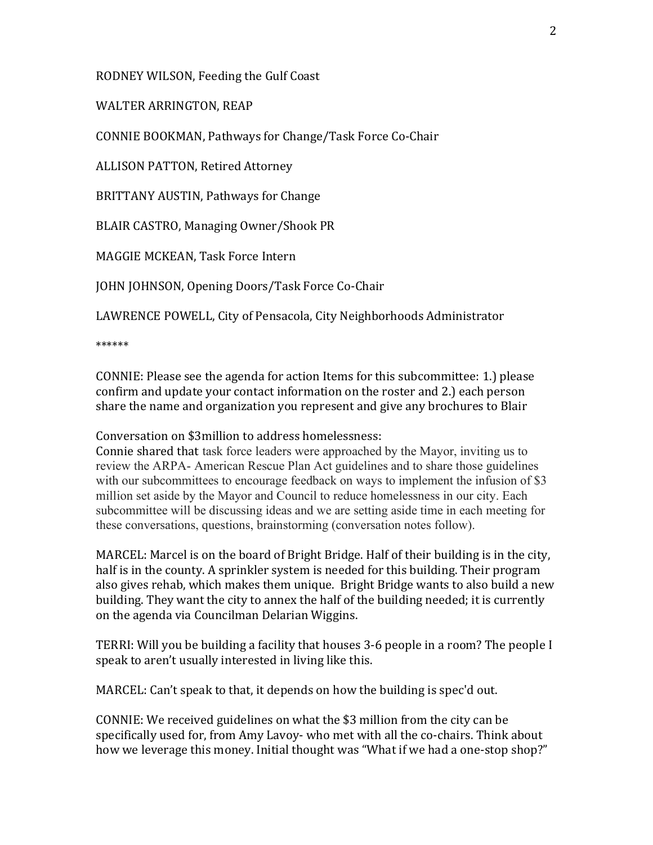RODNEY WILSON, Feeding the Gulf Coast

WALTER ARRINGTON, REAP

CONNIE BOOKMAN, Pathways for Change/Task Force Co-Chair

ALLISON PATTON, Retired Attorney

BRITTANY AUSTIN, Pathways for Change

BLAIR CASTRO, Managing Owner/Shook PR

MAGGIE MCKEAN, Task Force Intern

JOHN JOHNSON, Opening Doors/Task Force Co-Chair

LAWRENCE POWELL, City of Pensacola, City Neighborhoods Administrator

\*\*\*\*\*\*

CONNIE: Please see the agenda for action Items for this subcommittee: 1.) please confirm and update your contact information on the roster and 2.) each person share the name and organization you represent and give any brochures to Blair

Conversation on \$3million to address homelessness:

Connie shared that task force leaders were approached by the Mayor, inviting us to review the ARPA- American Rescue Plan Act guidelines and to share those guidelines with our subcommittees to encourage feedback on ways to implement the infusion of \$3 million set aside by the Mayor and Council to reduce homelessness in our city. Each subcommittee will be discussing ideas and we are setting aside time in each meeting for these conversations, questions, brainstorming (conversation notes follow).

MARCEL: Marcel is on the board of Bright Bridge. Half of their building is in the city, half is in the county. A sprinkler system is needed for this building. Their program also gives rehab, which makes them unique. Bright Bridge wants to also build a new building. They want the city to annex the half of the building needed; it is currently on the agenda via Councilman Delarian Wiggins.

TERRI: Will you be building a facility that houses 3-6 people in a room? The people I speak to aren't usually interested in living like this.

MARCEL: Can't speak to that, it depends on how the building is spec'd out.

CONNIE: We received guidelines on what the \$3 million from the city can be specifically used for, from Amy Lavoy- who met with all the co-chairs. Think about how we leverage this money. Initial thought was "What if we had a one-stop shop?"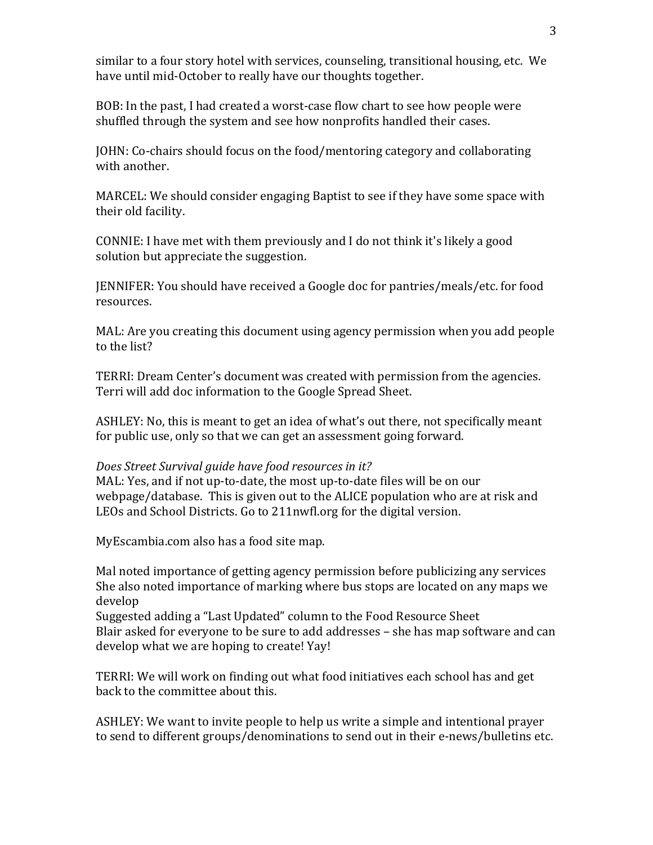similar to a four story hotel with services, counseling, transitional housing, etc. We have until mid-October to really have our thoughts together.

BOB: In the past, I had created a worst-case flow chart to see how people were shuffled through the system and see how nonprofits handled their cases.

JOHN: Co-chairs should focus on the food/mentoring category and collaborating with another.

MARCEL: We should consider engaging Baptist to see if they have some space with their old facility.

CONNIE: I have met with them previously and I do not think it's likely a good solution but appreciate the suggestion.

JENNIFER: You should have received a Google doc for pantries/meals/etc. for food resources.

MAL: Are you creating this document using agency permission when you add people to the list?

TERRI: Dream Center's document was created with permission from the agencies. Terri will add doc information to the Google Spread Sheet.

ASHLEY: No, this is meant to get an idea of what's out there, not specifically meant for public use, only so that we can get an assessment going forward.

## Does Street Survival guide have food resources in it?

MAL: Yes, and if not up-to-date, the most up-to-date files will be on our webpage/database. This is given out to the ALICE population who are at risk and LEOs and School Districts. Go to 211nwfl.org for the digital version.

MyEscambia.com also has a food site map.

Mal noted importance of getting agency permission before publicizing any services She also noted importance of marking where bus stops are located on any maps we develop

Suggested adding a "Last Updated" column to the Food Resource Sheet Blair asked for everyone to be sure to add addresses – she has map software and can develop what we are hoping to create! Yay!

TERRI: We will work on finding out what food initiatives each school has and get back to the committee about this.

ASHLEY: We want to invite people to help us write a simple and intentional prayer to send to different groups/denominations to send out in their e-news/bulletins etc.